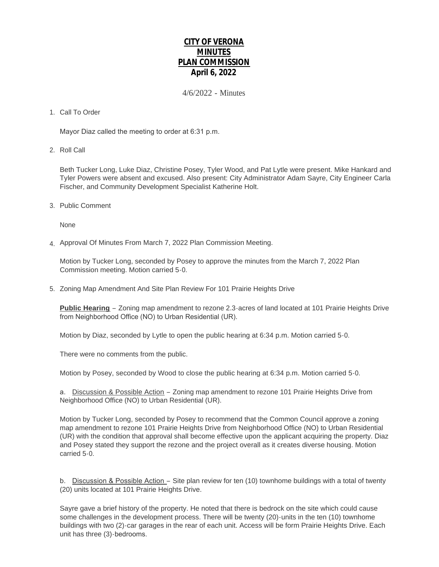# **CITY OF VERONA MINUTES PLAN COMMISSION April 6, 2022**

4/6/2022 - Minutes

## 1. Call To Order

Mayor Diaz called the meeting to order at 6:31 p.m.

2. Roll Call

Beth Tucker Long, Luke Diaz, Christine Posey, Tyler Wood, and Pat Lytle were present. Mike Hankard and Tyler Powers were absent and excused. Also present: City Administrator Adam Sayre, City Engineer Carla Fischer, and Community Development Specialist Katherine Holt.

3. Public Comment

None

4. Approval Of Minutes From March 7, 2022 Plan Commission Meeting.

Motion by Tucker Long, seconded by Posey to approve the minutes from the March 7, 2022 Plan Commission meeting. Motion carried 5-0.

5. Zoning Map Amendment And Site Plan Review For 101 Prairie Heights Drive

**Public Hearing** – Zoning map amendment to rezone 2.3-acres of land located at 101 Prairie Heights Drive from Neighborhood Office (NO) to Urban Residential (UR).

Motion by Diaz, seconded by Lytle to open the public hearing at 6:34 p.m. Motion carried 5-0.

There were no comments from the public.

Motion by Posey, seconded by Wood to close the public hearing at 6:34 p.m. Motion carried 5-0.

a. Discussion & Possible Action - Zoning map amendment to rezone 101 Prairie Heights Drive from Neighborhood Office (NO) to Urban Residential (UR).

Motion by Tucker Long, seconded by Posey to recommend that the Common Council approve a zoning map amendment to rezone 101 Prairie Heights Drive from Neighborhood Office (NO) to Urban Residential (UR) with the condition that approval shall become effective upon the applicant acquiring the property. Diaz and Posey stated they support the rezone and the project overall as it creates diverse housing. Motion carried 5-0.

b. Discussion & Possible Action – Site plan review for ten (10) townhome buildings with a total of twenty (20) units located at 101 Prairie Heights Drive.

Sayre gave a brief history of the property. He noted that there is bedrock on the site which could cause some challenges in the development process. There will be twenty (20)-units in the ten (10) townhome buildings with two (2)-car garages in the rear of each unit. Access will be form Prairie Heights Drive. Each unit has three (3)-bedrooms.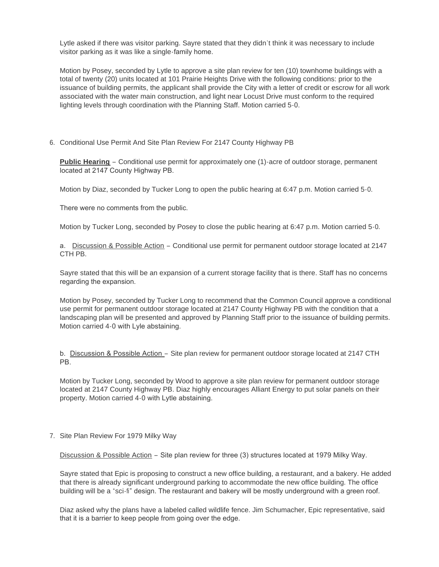Lytle asked if there was visitor parking. Sayre stated that they didn't think it was necessary to include visitor parking as it was like a single-family home.

Motion by Posey, seconded by Lytle to approve a site plan review for ten (10) townhome buildings with a total of twenty (20) units located at 101 Prairie Heights Drive with the following conditions: prior to the issuance of building permits, the applicant shall provide the City with a letter of credit or escrow for all work associated with the water main construction, and light near Locust Drive must conform to the required lighting levels through coordination with the Planning Staff. Motion carried 5-0.

6. Conditional Use Permit And Site Plan Review For 2147 County Highway PB

**Public Hearing** – Conditional use permit for approximately one (1)-acre of outdoor storage, permanent located at 2147 County Highway PB.

Motion by Diaz, seconded by Tucker Long to open the public hearing at 6:47 p.m. Motion carried 5-0.

There were no comments from the public.

Motion by Tucker Long, seconded by Posey to close the public hearing at 6:47 p.m. Motion carried 5-0.

a. Discussion & Possible Action – Conditional use permit for permanent outdoor storage located at 2147 CTH PB.

Sayre stated that this will be an expansion of a current storage facility that is there. Staff has no concerns regarding the expansion.

Motion by Posey, seconded by Tucker Long to recommend that the Common Council approve a conditional use permit for permanent outdoor storage located at 2147 County Highway PB with the condition that a landscaping plan will be presented and approved by Planning Staff prior to the issuance of building permits. Motion carried 4-0 with Lyle abstaining.

b. Discussion & Possible Action – Site plan review for permanent outdoor storage located at 2147 CTH PB.

Motion by Tucker Long, seconded by Wood to approve a site plan review for permanent outdoor storage located at 2147 County Highway PB. Diaz highly encourages Alliant Energy to put solar panels on their property. Motion carried 4-0 with Lytle abstaining.

7. Site Plan Review For 1979 Milky Way

Discussion & Possible Action – Site plan review for three (3) structures located at 1979 Milky Way.

Sayre stated that Epic is proposing to construct a new office building, a restaurant, and a bakery. He added that there is already significant underground parking to accommodate the new office building. The office building will be a "sci-fi" design. The restaurant and bakery will be mostly underground with a green roof.

Diaz asked why the plans have a labeled called wildlife fence. Jim Schumacher, Epic representative, said that it is a barrier to keep people from going over the edge.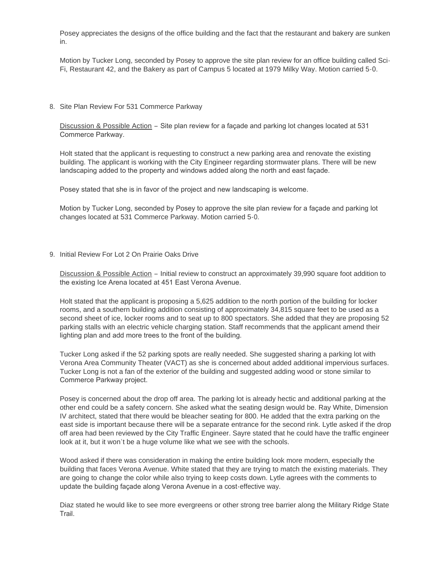Posey appreciates the designs of the office building and the fact that the restaurant and bakery are sunken in.

Motion by Tucker Long, seconded by Posey to approve the site plan review for an office building called Sci-Fi, Restaurant 42, and the Bakery as part of Campus 5 located at 1979 Milky Way. Motion carried 5-0.

8. Site Plan Review For 531 Commerce Parkway

Discussion & Possible Action – Site plan review for a façade and parking lot changes located at 531 Commerce Parkway.

Holt stated that the applicant is requesting to construct a new parking area and renovate the existing building. The applicant is working with the City Engineer regarding stormwater plans. There will be new landscaping added to the property and windows added along the north and east façade.

Posey stated that she is in favor of the project and new landscaping is welcome.

Motion by Tucker Long, seconded by Posey to approve the site plan review for a façade and parking lot changes located at 531 Commerce Parkway. Motion carried 5-0.

9. Initial Review For Lot 2 On Prairie Oaks Drive

Discussion & Possible Action – Initial review to construct an approximately 39,990 square foot addition to the existing Ice Arena located at 451 East Verona Avenue.

Holt stated that the applicant is proposing a 5,625 addition to the north portion of the building for locker rooms, and a southern building addition consisting of approximately 34,815 square feet to be used as a second sheet of ice, locker rooms and to seat up to 800 spectators. She added that they are proposing 52 parking stalls with an electric vehicle charging station. Staff recommends that the applicant amend their lighting plan and add more trees to the front of the building.

Tucker Long asked if the 52 parking spots are really needed. She suggested sharing a parking lot with Verona Area Community Theater (VACT) as she is concerned about added additional impervious surfaces. Tucker Long is not a fan of the exterior of the building and suggested adding wood or stone similar to Commerce Parkway project.

Posey is concerned about the drop off area. The parking lot is already hectic and additional parking at the other end could be a safety concern. She asked what the seating design would be. Ray White, Dimension IV architect, stated that there would be bleacher seating for 800. He added that the extra parking on the east side is important because there will be a separate entrance for the second rink. Lytle asked if the drop off area had been reviewed by the City Traffic Engineer. Sayre stated that he could have the traffic engineer look at it, but it won't be a huge volume like what we see with the schools.

Wood asked if there was consideration in making the entire building look more modern, especially the building that faces Verona Avenue. White stated that they are trying to match the existing materials. They are going to change the color while also trying to keep costs down. Lytle agrees with the comments to update the building façade along Verona Avenue in a cost-effective way.

Diaz stated he would like to see more evergreens or other strong tree barrier along the Military Ridge State Trail.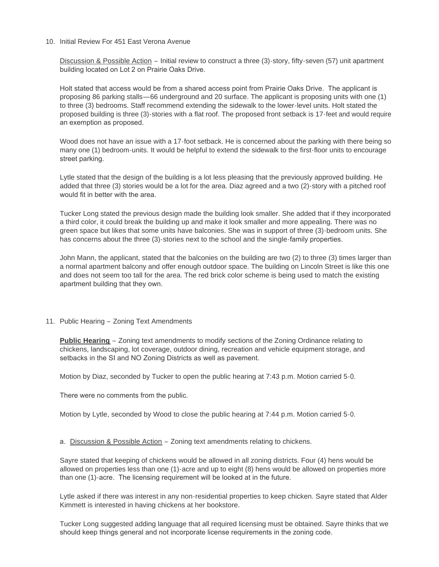#### 10. Initial Review For 451 East Verona Avenue

Discussion & Possible Action – Initial review to construct a three (3)-story, fifty-seven (57) unit apartment building located on Lot 2 on Prairie Oaks Drive.

Holt stated that access would be from a shared access point from Prairie Oaks Drive. The applicant is proposing 86 parking stalls—66 underground and 20 surface. The applicant is proposing units with one (1) to three (3) bedrooms. Staff recommend extending the sidewalk to the lower-level units. Holt stated the proposed building is three (3)-stories with a flat roof. The proposed front setback is 17-feet and would require an exemption as proposed.

Wood does not have an issue with a 17-foot setback. He is concerned about the parking with there being so many one (1) bedroom-units. It would be helpful to extend the sidewalk to the first-floor units to encourage street parking.

Lytle stated that the design of the building is a lot less pleasing that the previously approved building. He added that three (3) stories would be a lot for the area. Diaz agreed and a two (2)-story with a pitched roof would fit in better with the area.

Tucker Long stated the previous design made the building look smaller. She added that if they incorporated a third color, it could break the building up and make it look smaller and more appealing. There was no green space but likes that some units have balconies. She was in support of three (3)-bedroom units. She has concerns about the three (3)-stories next to the school and the single-family properties.

John Mann, the applicant, stated that the balconies on the building are two (2) to three (3) times larger than a normal apartment balcony and offer enough outdoor space. The building on Lincoln Street is like this one and does not seem too tall for the area. The red brick color scheme is being used to match the existing apartment building that they own.

### 11. Public Hearing - Zoning Text Amendments

**Public Hearing** – Zoning text amendments to modify sections of the Zoning Ordinance relating to chickens, landscaping, lot coverage, outdoor dining, recreation and vehicle equipment storage, and setbacks in the SI and NO Zoning Districts as well as pavement.

Motion by Diaz, seconded by Tucker to open the public hearing at 7:43 p.m. Motion carried 5-0.

There were no comments from the public.

Motion by Lytle, seconded by Wood to close the public hearing at 7:44 p.m. Motion carried 5-0.

a. Discussion & Possible Action – Zoning text amendments relating to chickens.

Sayre stated that keeping of chickens would be allowed in all zoning districts. Four (4) hens would be allowed on properties less than one (1)-acre and up to eight (8) hens would be allowed on properties more than one (1)-acre. The licensing requirement will be looked at in the future.

Lytle asked if there was interest in any non-residential properties to keep chicken. Sayre stated that Alder Kimmett is interested in having chickens at her bookstore.

Tucker Long suggested adding language that all required licensing must be obtained. Sayre thinks that we should keep things general and not incorporate license requirements in the zoning code.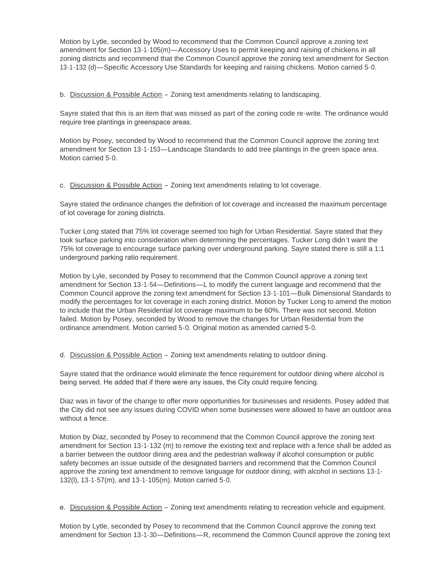Motion by Lytle, seconded by Wood to recommend that the Common Council approve a zoning text amendment for Section 13-1-105(m)—Accessory Uses to permit keeping and raising of chickens in all zoning districts and recommend that the Common Council approve the zoning text amendment for Section 13-1-132 (d)—Specific Accessory Use Standards for keeping and raising chickens. Motion carried 5-0.

b. Discussion & Possible Action - Zoning text amendments relating to landscaping.

Sayre stated that this is an item that was missed as part of the zoning code re-write. The ordinance would require tree plantings in greenspace areas.

Motion by Posey, seconded by Wood to recommend that the Common Council approve the zoning text amendment for Section 13-1-153—Landscape Standards to add tree plantings in the green space area. Motion carried 5-0.

c. Discussion & Possible Action – Zoning text amendments relating to lot coverage.

Sayre stated the ordinance changes the definition of lot coverage and increased the maximum percentage of lot coverage for zoning districts.

Tucker Long stated that 75% lot coverage seemed too high for Urban Residential. Sayre stated that they took surface parking into consideration when determining the percentages. Tucker Long didn't want the 75% lot coverage to encourage surface parking over underground parking. Sayre stated there is still a 1:1 underground parking ratio requirement.

Motion by Lyle, seconded by Posey to recommend that the Common Council approve a zoning text amendment for Section 13-1-54—Definitions—L to modify the current language and recommend that the Common Council approve the zoning text amendment for Section 13-1-101—Bulk Dimensional Standards to modify the percentages for lot coverage in each zoning district. Motion by Tucker Long to amend the motion to include that the Urban Residential lot coverage maximum to be 60%. There was not second. Motion failed. Motion by Posey, seconded by Wood to remove the changes for Urban Residential from the ordinance amendment. Motion carried 5-0. Original motion as amended carried 5-0.

d. Discussion & Possible Action – Zoning text amendments relating to outdoor dining.

Sayre stated that the ordinance would eliminate the fence requirement for outdoor dining where alcohol is being served. He added that if there were any issues, the City could require fencing.

Diaz was in favor of the change to offer more opportunities for businesses and residents. Posey added that the City did not see any issues during COVID when some businesses were allowed to have an outdoor area without a fence.

Motion by Diaz, seconded by Posey to recommend that the Common Council approve the zoning text amendment for Section 13-1-132 (m) to remove the existing text and replace with a fence shall be added as a barrier between the outdoor dining area and the pedestrian walkway if alcohol consumption or public safety becomes an issue outside of the designated barriers and recommend that the Common Council approve the zoning text amendment to remove language for outdoor dining, with alcohol in sections 13-1- 132(l), 13-1-57(m), and 13-1-105(m). Motion carried 5-0.

e. Discussion & Possible Action – Zoning text amendments relating to recreation vehicle and equipment.

Motion by Lytle, seconded by Posey to recommend that the Common Council approve the zoning text amendment for Section 13-1-30—Definitions—R, recommend the Common Council approve the zoning text